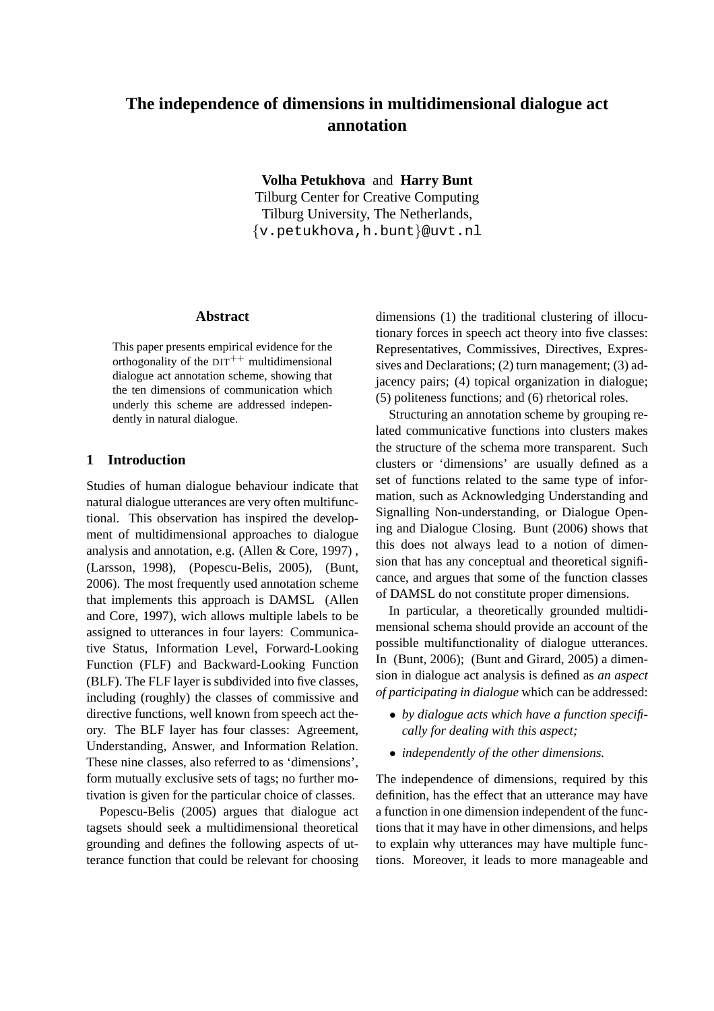# **The independence of dimensions in multidimensional dialogue act annotation**

**Volha Petukhova** and **Harry Bunt**

Tilburg Center for Creative Computing Tilburg University, The Netherlands, {v.petukhova,h.bunt}@uvt.nl

#### **Abstract**

This paper presents empirical evidence for the orthogonality of the  $DT^{++}$  multidimensional dialogue act annotation scheme, showing that the ten dimensions of communication which underly this scheme are addressed independently in natural dialogue.

## **1 Introduction**

Studies of human dialogue behaviour indicate that natural dialogue utterances are very often multifunctional. This observation has inspired the development of multidimensional approaches to dialogue analysis and annotation, e.g. (Allen & Core, 1997) , (Larsson, 1998), (Popescu-Belis, 2005), (Bunt, 2006). The most frequently used annotation scheme that implements this approach is DAMSL (Allen and Core, 1997), wich allows multiple labels to be assigned to utterances in four layers: Communicative Status, Information Level, Forward-Looking Function (FLF) and Backward-Looking Function (BLF). The FLF layer is subdivided into five classes, including (roughly) the classes of commissive and directive functions, well known from speech act theory. The BLF layer has four classes: Agreement, Understanding, Answer, and Information Relation. These nine classes, also referred to as 'dimensions', form mutually exclusive sets of tags; no further motivation is given for the particular choice of classes.

Popescu-Belis (2005) argues that dialogue act tagsets should seek a multidimensional theoretical grounding and defines the following aspects of utterance function that could be relevant for choosing

dimensions (1) the traditional clustering of illocutionary forces in speech act theory into five classes: Representatives, Commissives, Directives, Expressives and Declarations; (2) turn management; (3) adjacency pairs; (4) topical organization in dialogue; (5) politeness functions; and (6) rhetorical roles.

Structuring an annotation scheme by grouping related communicative functions into clusters makes the structure of the schema more transparent. Such clusters or 'dimensions' are usually defined as a set of functions related to the same type of information, such as Acknowledging Understanding and Signalling Non-understanding, or Dialogue Opening and Dialogue Closing. Bunt (2006) shows that this does not always lead to a notion of dimension that has any conceptual and theoretical significance, and argues that some of the function classes of DAMSL do not constitute proper dimensions.

In particular, a theoretically grounded multidimensional schema should provide an account of the possible multifunctionality of dialogue utterances. In (Bunt, 2006); (Bunt and Girard, 2005) a dimension in dialogue act analysis is defined as *an aspect of participating in dialogue* which can be addressed:

- *by dialogue acts which have a function specifically for dealing with this aspect;*
- *independently of the other dimensions.*

The independence of dimensions, required by this definition, has the effect that an utterance may have a function in one dimension independent of the functions that it may have in other dimensions, and helps to explain why utterances may have multiple functions. Moreover, it leads to more manageable and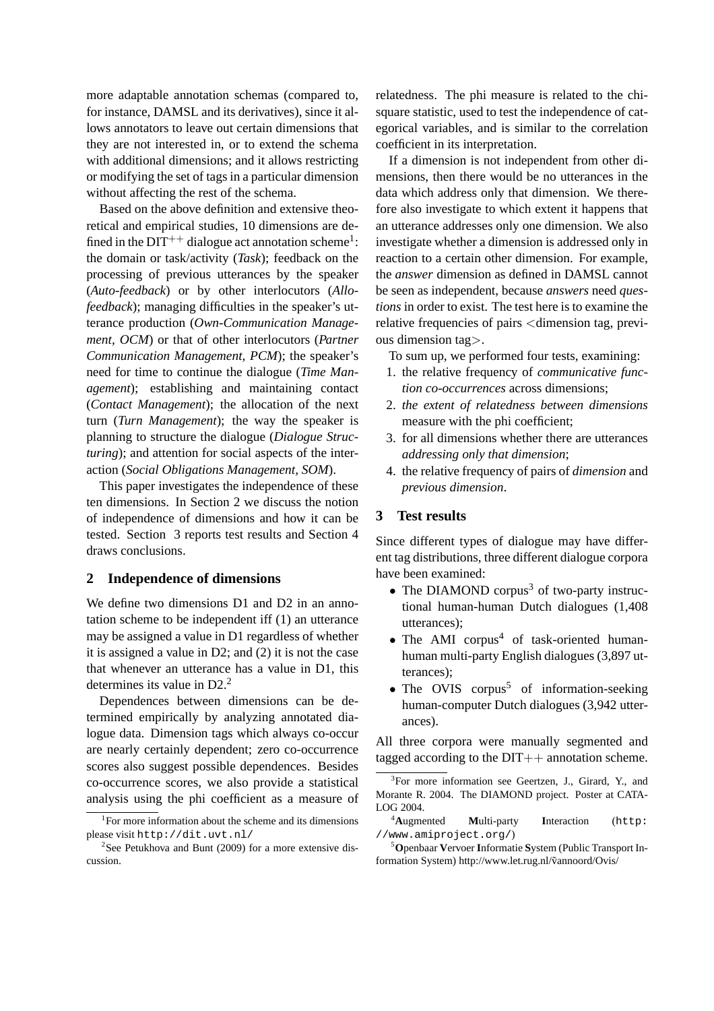more adaptable annotation schemas (compared to, for instance, DAMSL and its derivatives), since it allows annotators to leave out certain dimensions that they are not interested in, or to extend the schema with additional dimensions; and it allows restricting or modifying the set of tags in a particular dimension without affecting the rest of the schema.

Based on the above definition and extensive theoretical and empirical studies, 10 dimensions are defined in the DIT<sup>++</sup> dialogue act annotation scheme<sup>1</sup>: the domain or task/activity (*Task*); feedback on the processing of previous utterances by the speaker (*Auto-feedback*) or by other interlocutors (*Allofeedback*); managing difficulties in the speaker's utterance production (*Own-Communication Management, OCM*) or that of other interlocutors (*Partner Communication Management, PCM*); the speaker's need for time to continue the dialogue (*Time Management*); establishing and maintaining contact (*Contact Management*); the allocation of the next turn (*Turn Management*); the way the speaker is planning to structure the dialogue (*Dialogue Structuring*); and attention for social aspects of the interaction (*Social Obligations Management, SOM*).

This paper investigates the independence of these ten dimensions. In Section 2 we discuss the notion of independence of dimensions and how it can be tested. Section 3 reports test results and Section 4 draws conclusions.

#### **2 Independence of dimensions**

We define two dimensions D1 and D2 in an annotation scheme to be independent iff (1) an utterance may be assigned a value in D1 regardless of whether it is assigned a value in D2; and (2) it is not the case that whenever an utterance has a value in D1, this determines its value in D2.<sup>2</sup>

Dependences between dimensions can be determined empirically by analyzing annotated dialogue data. Dimension tags which always co-occur are nearly certainly dependent; zero co-occurrence scores also suggest possible dependences. Besides co-occurrence scores, we also provide a statistical analysis using the phi coefficient as a measure of relatedness. The phi measure is related to the chisquare statistic, used to test the independence of categorical variables, and is similar to the correlation coefficient in its interpretation.

If a dimension is not independent from other dimensions, then there would be no utterances in the data which address only that dimension. We therefore also investigate to which extent it happens that an utterance addresses only one dimension. We also investigate whether a dimension is addressed only in reaction to a certain other dimension. For example, the *answer* dimension as defined in DAMSL cannot be seen as independent, because *answers* need *questions* in order to exist. The test here is to examine the relative frequencies of pairs <dimension tag, previous dimension tag>.

To sum up, we performed four tests, examining:

- 1. the relative frequency of *communicative function co-occurrences* across dimensions;
- 2. *the extent of relatedness between dimensions* measure with the phi coefficient;
- 3. for all dimensions whether there are utterances *addressing only that dimension*;
- 4. the relative frequency of pairs of *dimension* and *previous dimension*.

## **3 Test results**

Since different types of dialogue may have different tag distributions, three different dialogue corpora have been examined:

- The DIAMOND corpus<sup>3</sup> of two-party instructional human-human Dutch dialogues (1,408 utterances);
- The AMI corpus<sup>4</sup> of task-oriented humanhuman multi-party English dialogues (3,897 utterances);
- The OVIS corpus<sup>5</sup> of information-seeking human-computer Dutch dialogues (3,942 utterances).

All three corpora were manually segmented and tagged according to the  $DT++$  annotation scheme.

<sup>&</sup>lt;sup>1</sup>For more information about the scheme and its dimensions please visit http://dit.uvt.nl/

<sup>&</sup>lt;sup>2</sup>See Petukhova and Bunt (2009) for a more extensive discussion.

<sup>&</sup>lt;sup>3</sup>For more information see Geertzen, J., Girard, Y., and Morante R. 2004. The DIAMOND project. Poster at CATA-LOG 2004.

<sup>4</sup>**A**ugmented **M**ulti-party **I**nteraction (http: //www.amiproject.org/)

<sup>5</sup>**O**penbaar **V**ervoer **I**nformatie **S**ystem (Public Transport Information System) http://www.let.rug.nl/ṽannoord/Ovis/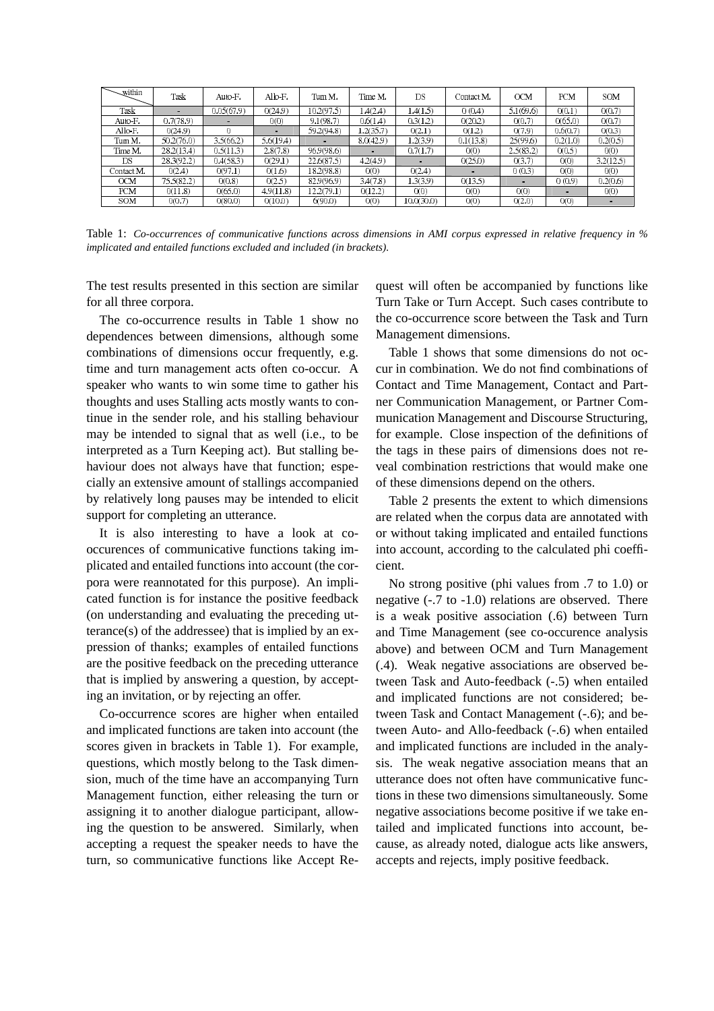| within     | Task       | Auto F.    | Allo F.   | Tum M.     | Time M.   | ÐS         | Contact M. | <b>OCM</b> | <b>PCM</b> | <b>SOM</b> |
|------------|------------|------------|-----------|------------|-----------|------------|------------|------------|------------|------------|
| Task       | a.         | 0.05(67.9) | 0(24.9)   | 10.2(97.5) | 14(24)    | 1.4(1.5)   | 0(0.4)     | 5.1(69.6)  | O(0.1)     | O(0.7)     |
| Auto F     | 0.7(78.9)  | $\sim$     | 0(0)      | 9.1(98.7)  | 0.6(1.4)  | 0.3(1.2)   | O(20.2)    | 0(0.7)     | 0(65.0)    | 0(0.7)     |
| Allo F.    | 0(24.9)    |            | п.        | 59.2(94.8) | 1.2(35.7) | 0(2.1)     | 0(1.2)     | 0(7.9)     | 0.6(0.7)   | O(0.3)     |
| Turn M.    | 50.2(76.0) | 3.5(66.2)  | 5.6(19.4) | -          | 8.0(42.9) | 1.2(3.9)   | 0.1(13.8)  | 25(99.6)   | 0.2(1.0)   | 0.2(0.5)   |
| Time M.    | 28.2(13.4) | 0.5(11.3)  | 2.8(7.8)  | 96.9(98.6) |           | 0.7(1.7)   | O(0)       | 2.5(83.2)  | 0(0.5)     | O(O)       |
| DS.        | 28.3(92.2) | 0.4(58.3)  | 0(29.1)   | 22.6(87.5) | 4.2(4.9)  |            | 0(25.0)    | 0(3.7)     | 0(0)       | 3.2(12.5)  |
| Contact M. | O(2.4)     | 0(97.1)    | 0(1.6)    | 18.2(98.8) | O(0)      | 0(2.4)     | <b>COL</b> | 0(0.3)     | 0(0)       | 0(0)       |
| <b>OCM</b> | 75.5(82.2) | 0(0.8)     | 0(2.5)    | 82.9(96.9) | 34(7.8)   | 1.3(3.9)   | O(13.5)    |            | 0(0.9)     | 0.2(0.6)   |
| <b>PCM</b> | 0(11.8)    | 0(65.0)    | 4.9(11.8) | 12.2(79.1) | 0(12.2)   | O(0)       | 0(0)       | 0(0)       |            | 0(0)       |
| SOM        | 0(0.7)     | 0(80.0)    | 0(10.0)   | 6(90.0)    | O(0)      | 10.0(30.0) | 0(0)       | 0(2.0)     | 0(0)       |            |

Table 1: *Co-occurrences of communicative functions across dimensions in AMI corpus expressed in relative frequency in % implicated and entailed functions excluded and included (in brackets).*

The test results presented in this section are similar for all three corpora.

The co-occurrence results in Table 1 show no dependences between dimensions, although some combinations of dimensions occur frequently, e.g. time and turn management acts often co-occur. A speaker who wants to win some time to gather his thoughts and uses Stalling acts mostly wants to continue in the sender role, and his stalling behaviour may be intended to signal that as well (i.e., to be interpreted as a Turn Keeping act). But stalling behaviour does not always have that function; especially an extensive amount of stallings accompanied by relatively long pauses may be intended to elicit support for completing an utterance.

It is also interesting to have a look at cooccurences of communicative functions taking implicated and entailed functions into account (the corpora were reannotated for this purpose). An implicated function is for instance the positive feedback (on understanding and evaluating the preceding utterance(s) of the addressee) that is implied by an expression of thanks; examples of entailed functions are the positive feedback on the preceding utterance that is implied by answering a question, by accepting an invitation, or by rejecting an offer.

Co-occurrence scores are higher when entailed and implicated functions are taken into account (the scores given in brackets in Table 1). For example, questions, which mostly belong to the Task dimension, much of the time have an accompanying Turn Management function, either releasing the turn or assigning it to another dialogue participant, allowing the question to be answered. Similarly, when accepting a request the speaker needs to have the turn, so communicative functions like Accept Re-

quest will often be accompanied by functions like Turn Take or Turn Accept. Such cases contribute to the co-occurrence score between the Task and Turn Management dimensions.

Table 1 shows that some dimensions do not occur in combination. We do not find combinations of Contact and Time Management, Contact and Partner Communication Management, or Partner Communication Management and Discourse Structuring, for example. Close inspection of the definitions of the tags in these pairs of dimensions does not reveal combination restrictions that would make one of these dimensions depend on the others.

Table 2 presents the extent to which dimensions are related when the corpus data are annotated with or without taking implicated and entailed functions into account, according to the calculated phi coefficient.

No strong positive (phi values from .7 to 1.0) or negative (-.7 to -1.0) relations are observed. There is a weak positive association (.6) between Turn and Time Management (see co-occurence analysis above) and between OCM and Turn Management (.4). Weak negative associations are observed between Task and Auto-feedback (-.5) when entailed and implicated functions are not considered; between Task and Contact Management (-.6); and between Auto- and Allo-feedback (-.6) when entailed and implicated functions are included in the analysis. The weak negative association means that an utterance does not often have communicative functions in these two dimensions simultaneously. Some negative associations become positive if we take entailed and implicated functions into account, because, as already noted, dialogue acts like answers, accepts and rejects, imply positive feedback.